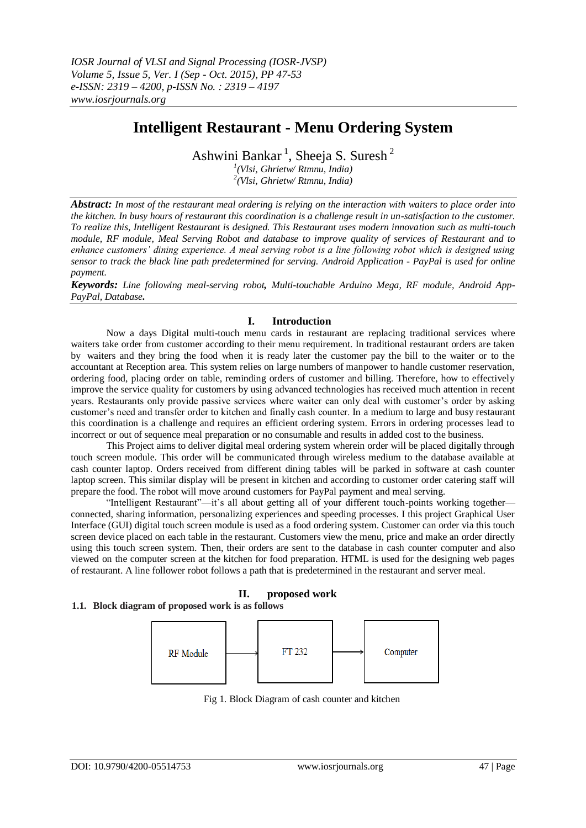# **Intelligent Restaurant - Menu Ordering System**

Ashwini Bankar<sup>1</sup>, Sheeja S. Suresh<sup>2</sup>

*1 (Vlsi, Ghrietw/ Rtmnu, India) 2 (Vlsi, Ghrietw/ Rtmnu, India)* 

*Abstract: In most of the restaurant meal ordering is relying on the interaction with waiters to place order into the kitchen. In busy hours of restaurant this coordination is a challenge result in un-satisfaction to the customer. To realize this, Intelligent Restaurant is designed. This Restaurant uses modern innovation such as multi-touch module, RF module, Meal Serving Robot and database to improve quality of services of Restaurant and to enhance customers' dining experience. A meal serving robot is a line following robot which is designed using sensor to track the black line path predetermined for serving. Android Application - PayPal is used for online payment.*

*Keywords: Line following meal-serving robot, Multi-touchable Arduino Mega, RF module, Android App-PayPal, Database.*

### **I. Introduction**

Now a days Digital multi-touch menu cards in restaurant are replacing traditional services where waiters take order from customer according to their menu requirement. In traditional restaurant orders are taken by waiters and they bring the food when it is ready later the customer pay the bill to the waiter or to the accountant at Reception area. This system relies on large numbers of manpower to handle customer reservation, ordering food, placing order on table, reminding orders of customer and billing. Therefore, how to effectively improve the service quality for customers by using advanced technologies has received much attention in recent years. Restaurants only provide passive services where waiter can only deal with customer"s order by asking customer"s need and transfer order to kitchen and finally cash counter. In a medium to large and busy restaurant this coordination is a challenge and requires an efficient ordering system. Errors in ordering processes lead to incorrect or out of sequence meal preparation or no consumable and results in added cost to the business.

This Project aims to deliver digital meal ordering system wherein order will be placed digitally through touch screen module. This order will be communicated through wireless medium to the database available at cash counter laptop. Orders received from different dining tables will be parked in software at cash counter laptop screen. This similar display will be present in kitchen and according to customer order catering staff will prepare the food. The robot will move around customers for PayPal payment and meal serving.

"Intelligent Restaurant"—it"s all about getting all of your different touch-points working together connected, sharing information, personalizing experiences and speeding processes. I this project Graphical User Interface (GUI) digital touch screen module is used as a food ordering system. Customer can order via this touch screen device placed on each table in the restaurant. Customers view the menu, price and make an order directly using this touch screen system. Then, their orders are sent to the database in cash counter computer and also viewed on the computer screen at the kitchen for food preparation. HTML is used for the designing web pages of restaurant. A line follower robot follows a path that is predetermined in the restaurant and server meal.

## **II. proposed work**

#### **1.1. Block diagram of proposed work is as follows**



Fig 1. Block Diagram of cash counter and kitchen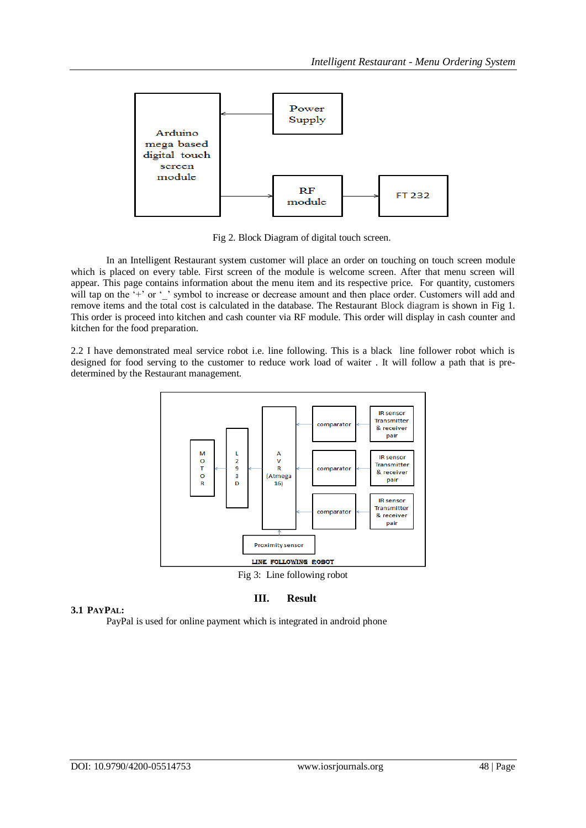

Fig 2. Block Diagram of digital touch screen.

 In an Intelligent Restaurant system customer will place an order on touching on touch screen module which is placed on every table. First screen of the module is welcome screen. After that menu screen will appear. This page contains information about the menu item and its respective price. For quantity, customers will tap on the '+' or '\_' symbol to increase or decrease amount and then place order. Customers will add and remove items and the total cost is calculated in the database. The Restaurant Block diagram is shown in Fig 1. This order is proceed into kitchen and cash counter via RF module. This order will display in cash counter and kitchen for the food preparation.

2.2 I have demonstrated meal service robot i.e. line following. This is a black line follower robot which is designed for food serving to the customer to reduce work load of waiter . It will follow a path that is predetermined by the Restaurant management.



**III. Result**

### **3.1 PAYPAL:**

PayPal is used for online payment which is integrated in android phone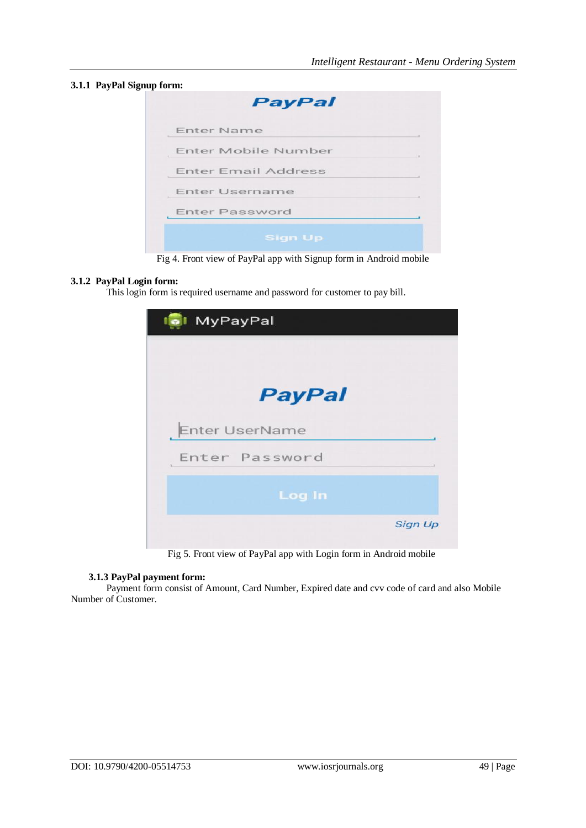#### **3.1.1 PayPal Signup form:**

| <b>Enter Name</b>          |  |
|----------------------------|--|
| Enter Mobile Number        |  |
| <b>Enter Email Address</b> |  |
| Enter Username             |  |
| <b>Enter Password</b>      |  |

Fig 4. Front view of PayPal app with Signup form in Android mobile

#### **3.1.2 PayPal Login form:**

This login form is required username and password for customer to pay bill.

| MyPayPal       |                |
|----------------|----------------|
| <b>PayPal</b>  |                |
| Enter UserName |                |
| Enter Password |                |
| <b>Log In</b>  |                |
|                | <b>Sign Up</b> |

Fig 5. Front view of PayPal app with Login form in Android mobile

#### **3.1.3 PayPal payment form:**

Payment form consist of Amount, Card Number, Expired date and cvv code of card and also Mobile Number of Customer.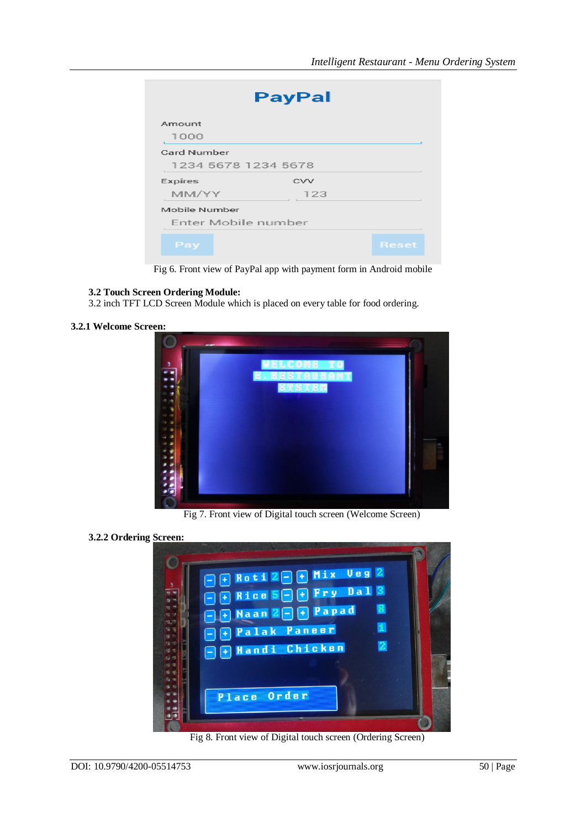|                     | <b>PayPal</b> |              |
|---------------------|---------------|--------------|
| Amount              |               |              |
| 1000                |               |              |
| Card Number         |               |              |
| 1234 5678 1234 5678 |               |              |
| Expires             | <b>CVV</b>    |              |
| MM/YY               | 123           |              |
| Mobile Number       |               |              |
| Enter Mobile number |               |              |
| Pay                 |               | <b>Reset</b> |

Fig 6. Front view of PayPal app with payment form in Android mobile

#### **3.2 Touch Screen Ordering Module:**

3.2 inch TFT LCD Screen Module which is placed on every table for food ordering.

**3.2.1 Welcome Screen:**



Fig 7. Front view of Digital touch screen (Welcome Screen)

#### **3.2.2 Ordering Screen:**



Fig 8. Front view of Digital touch screen (Ordering Screen)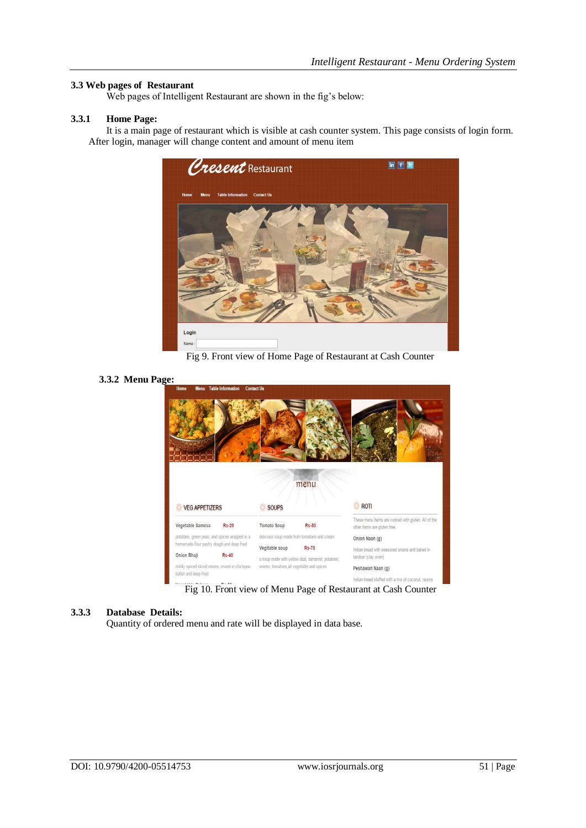#### **3.3 Web pages of Restaurant**

Web pages of Intelligent Restaurant are shown in the fig's below:

#### **3.3.1 Home Page:**

It is a main page of restaurant which is visible at cash counter system. This page consists of login form. After login, manager will change content and amount of menu item



Fig 9. Front view of Home Page of Restaurant at Cash Counter

#### **3.3.2 Menu Page:**



Fig 10. Front view of Menu Page of Restaurant at Cash Counter

#### **3.3.3 Database Details:**

Quantity of ordered menu and rate will be displayed in data base.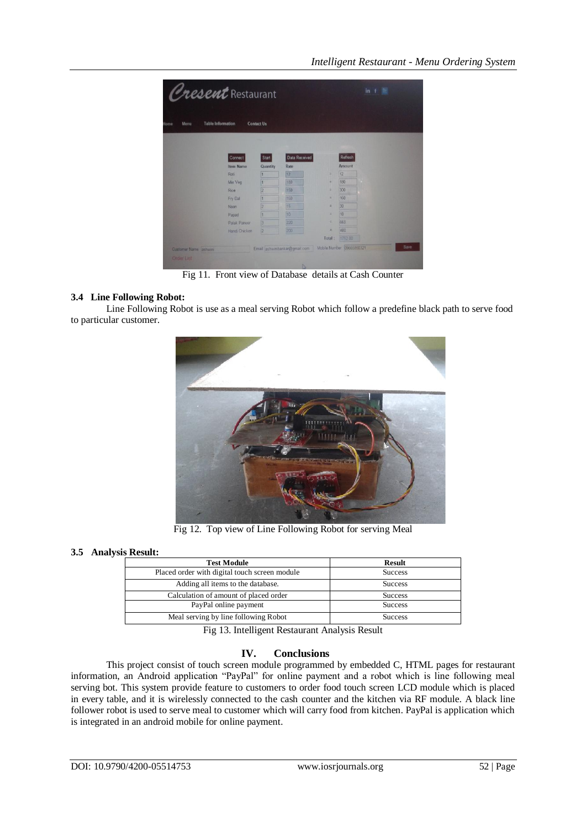| Cresent Restaurant               |                  |                   |                               |                           |         | in f |
|----------------------------------|------------------|-------------------|-------------------------------|---------------------------|---------|------|
| <b>Table Information</b><br>Menu |                  | <b>Contact Us</b> |                               |                           |         |      |
| lome                             |                  |                   |                               |                           |         |      |
|                                  |                  |                   |                               |                           |         |      |
|                                  | Connect          | Start             | Data Received                 |                           | Refresh |      |
|                                  | <b>Item Name</b> | Quantity          | Rate                          |                           | Amount  |      |
|                                  | Roti             |                   | 12                            | $\equiv$                  | 12      |      |
|                                  | Mix Veg          |                   | 180                           | $\equiv$                  | 180     |      |
|                                  | Rice             | 2                 | 150                           | н                         | 300     |      |
|                                  | Fry Dal          |                   | 160                           | ×                         | 160     |      |
|                                  | Naan             | 12                | 15                            | Ξ                         | 30      |      |
|                                  | Papad            | п                 | 10                            | Ξ                         | 10      |      |
|                                  | Palak Paneer     | 3                 | 220                           | Ξ                         | 660     |      |
|                                  | Handi Chicken    | $\sqrt{2}$        | 200                           | Ξ                         | 400     |      |
|                                  |                  |                   |                               | Total:                    | 1752 00 |      |
| Customer Name ashwini            |                  |                   | Email ashwinibankar@gmail.com | Mobile Number 09665850321 |         | Save |
| Order List                       |                  |                   |                               |                           |         |      |

Fig 11. Front view of Database details at Cash Counter

#### **3.4 Line Following Robot:**

Line Following Robot is use as a meal serving Robot which follow a predefine black path to serve food to particular customer.



Fig 12. Top view of Line Following Robot for serving Meal

#### **3.5 Analysis Result:**

| <b>Test Module</b>                            | <b>Result</b>  |
|-----------------------------------------------|----------------|
| Placed order with digital touch screen module | <b>Success</b> |
| Adding all items to the database.             | <b>Success</b> |
| Calculation of amount of placed order         | <b>Success</b> |
| PayPal online payment                         | <b>Success</b> |
| Meal serving by line following Robot          | <b>Success</b> |

Fig 13. Intelligent Restaurant Analysis Result

#### **IV. Conclusions**

This project consist of touch screen module programmed by embedded C, HTML pages for restaurant information, an Android application "PayPal" for online payment and a robot which is line following meal serving bot. This system provide feature to customers to order food touch screen LCD module which is placed in every table, and it is wirelessly connected to the cash counter and the kitchen via RF module. A black line follower robot is used to serve meal to customer which will carry food from kitchen. PayPal is application which is integrated in an android mobile for online payment.